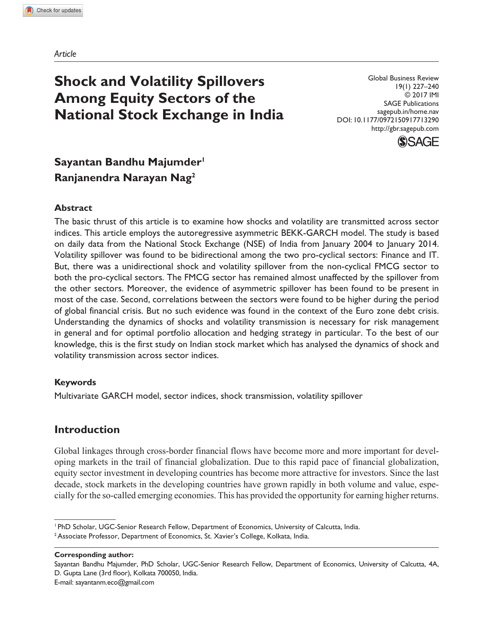*Article*

# **Shock and Volatility Spillovers Among Equity Sectors of the National Stock Exchange in India**

Global Business Review 19(1) 227–240 © 2017 IMI SAGE Publications sagepub.in/home.nav DOI: 10.1177/0972150917713290 http://gbr.sagepub.com



## Sayantan Bandhu Majumder<sup>1</sup> **Ranjanendra Narayan Nag2**

#### **Abstract**

The basic thrust of this article is to examine how shocks and volatility are transmitted across sector indices. This article employs the autoregressive asymmetric BEKK-GARCH model. The study is based on daily data from the National Stock Exchange (NSE) of India from January 2004 to January 2014. Volatility spillover was found to be bidirectional among the two pro-cyclical sectors: Finance and IT. But, there was a unidirectional shock and volatility spillover from the non-cyclical FMCG sector to both the pro-cyclical sectors. The FMCG sector has remained almost unaffected by the spillover from the other sectors. Moreover, the evidence of asymmetric spillover has been found to be present in most of the case. Second, correlations between the sectors were found to be higher during the period of global financial crisis. But no such evidence was found in the context of the Euro zone debt crisis. Understanding the dynamics of shocks and volatility transmission is necessary for risk management in general and for optimal portfolio allocation and hedging strategy in particular. To the best of our knowledge, this is the first study on Indian stock market which has analysed the dynamics of shock and volatility transmission across sector indices.

#### **Keywords**

Multivariate GARCH model, sector indices, shock transmission, volatility spillover

#### **Introduction**

Global linkages through cross-border financial flows have become more and more important for developing markets in the trail of financial globalization. Due to this rapid pace of financial globalization, equity sector investment in developing countries has become more attractive for investors. Since the last decade, stock markets in the developing countries have grown rapidly in both volume and value, especially for the so-called emerging economies. This has provided the opportunity for earning higher returns.

**Corresponding author:**

E-mail: sayantanm.eco@gmail.com

<sup>1</sup> PhD Scholar, UGC-Senior Research Fellow, Department of Economics, University of Calcutta, India. 2 Associate Professor, Department of Economics, St. Xavier's College, Kolkata, India.

Sayantan Bandhu Majumder, PhD Scholar, UGC-Senior Research Fellow, Department of Economics, University of Calcutta, 4A, D. Gupta Lane (3rd floor), Kolkata 700050, India.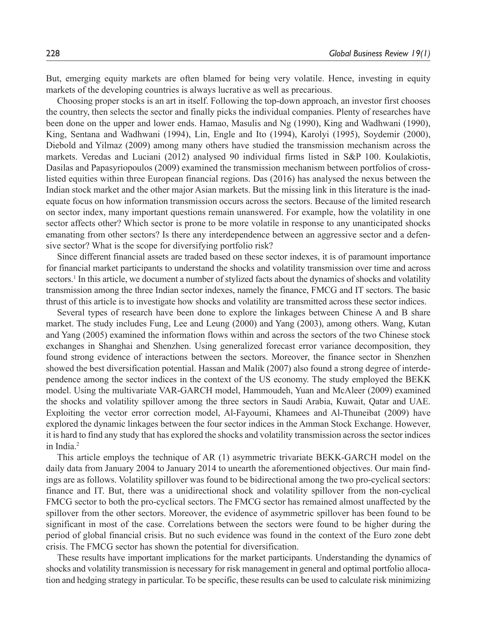But, emerging equity markets are often blamed for being very volatile. Hence, investing in equity markets of the developing countries is always lucrative as well as precarious.

Choosing proper stocks is an art in itself. Following the top-down approach, an investor first chooses the country, then selects the sector and finally picks the individual companies. Plenty of researches have been done on the upper and lower ends. Hamao, Masulis and Ng (1990), King and Wadhwani (1990), King, Sentana and Wadhwani (1994), Lin, Engle and Ito (1994), Karolyi (1995), Soydemir (2000), Diebold and Yilmaz (2009) among many others have studied the transmission mechanism across the markets. Veredas and Luciani (2012) analysed 90 individual firms listed in S&P 100. Koulakiotis, Dasilas and Papasyriopoulos (2009) examined the transmission mechanism between portfolios of crosslisted equities within three European financial regions. Das (2016) has analysed the nexus between the Indian stock market and the other major Asian markets. But the missing link in this literature is the inadequate focus on how information transmission occurs across the sectors. Because of the limited research on sector index, many important questions remain unanswered. For example, how the volatility in one sector affects other? Which sector is prone to be more volatile in response to any unanticipated shocks emanating from other sectors? Is there any interdependence between an aggressive sector and a defensive sector? What is the scope for diversifying portfolio risk?

Since different financial assets are traded based on these sector indexes, it is of paramount importance for financial market participants to understand the shocks and volatility transmission over time and across sectors.<sup>1</sup> In this article, we document a number of stylized facts about the dynamics of shocks and volatility transmission among the three Indian sector indexes, namely the finance, FMCG and IT sectors. The basic thrust of this article is to investigate how shocks and volatility are transmitted across these sector indices.

Several types of research have been done to explore the linkages between Chinese A and B share market. The study includes Fung, Lee and Leung (2000) and Yang (2003), among others. Wang, Kutan and Yang (2005) examined the information flows within and across the sectors of the two Chinese stock exchanges in Shanghai and Shenzhen. Using generalized forecast error variance decomposition, they found strong evidence of interactions between the sectors. Moreover, the finance sector in Shenzhen showed the best diversification potential. Hassan and Malik (2007) also found a strong degree of interdependence among the sector indices in the context of the US economy. The study employed the BEKK model. Using the multivariate VAR-GARCH model, Hammoudeh, Yuan and McAleer (2009) examined the shocks and volatility spillover among the three sectors in Saudi Arabia, Kuwait, Qatar and UAE. Exploiting the vector error correction model, Al-Fayoumi, Khamees and Al-Thuneibat (2009) have explored the dynamic linkages between the four sector indices in the Amman Stock Exchange. However, it is hard to find any study that has explored the shocks and volatility transmission across the sector indices in India.2

This article employs the technique of AR (1) asymmetric trivariate BEKK-GARCH model on the daily data from January 2004 to January 2014 to unearth the aforementioned objectives. Our main findings are as follows. Volatility spillover was found to be bidirectional among the two pro-cyclical sectors: finance and IT. But, there was a unidirectional shock and volatility spillover from the non-cyclical FMCG sector to both the pro-cyclical sectors. The FMCG sector has remained almost unaffected by the spillover from the other sectors. Moreover, the evidence of asymmetric spillover has been found to be significant in most of the case. Correlations between the sectors were found to be higher during the period of global financial crisis. But no such evidence was found in the context of the Euro zone debt crisis. The FMCG sector has shown the potential for diversification.

These results have important implications for the market participants. Understanding the dynamics of shocks and volatility transmission is necessary for risk management in general and optimal portfolio allocation and hedging strategy in particular. To be specific, these results can be used to calculate risk minimizing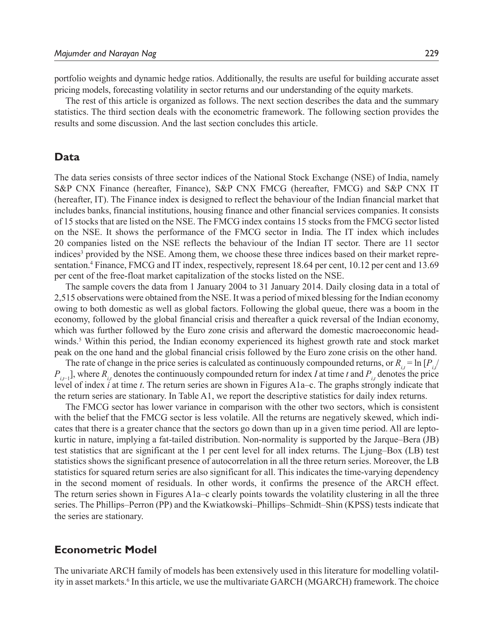portfolio weights and dynamic hedge ratios. Additionally, the results are useful for building accurate asset pricing models, forecasting volatility in sector returns and our understanding of the equity markets.

The rest of this article is organized as follows. The next section describes the data and the summary statistics. The third section deals with the econometric framework. The following section provides the results and some discussion. And the last section concludes this article.

#### **Data**

The data series consists of three sector indices of the National Stock Exchange (NSE) of India, namely S&P CNX Finance (hereafter, Finance), S&P CNX FMCG (hereafter, FMCG) and S&P CNX IT (hereafter, IT). The Finance index is designed to reflect the behaviour of the Indian financial market that includes banks, financial institutions, housing finance and other financial services companies. It consists of 15 stocks that are listed on the NSE. The FMCG index contains 15 stocks from the FMCG sector listed on the NSE. It shows the performance of the FMCG sector in India. The IT index which includes 20 companies listed on the NSE reflects the behaviour of the Indian IT sector. There are 11 sector indices<sup>3</sup> provided by the NSE. Among them, we choose these three indices based on their market representation.<sup>4</sup> Finance, FMCG and IT index, respectively, represent 18.64 per cent, 10.12 per cent and 13.69 per cent of the free-float market capitalization of the stocks listed on the NSE.

The sample covers the data from 1 January 2004 to 31 January 2014. Daily closing data in a total of 2,515 observations were obtained from the NSE. It was a period of mixed blessing for the Indian economy owing to both domestic as well as global factors. Following the global queue, there was a boom in the economy, followed by the global financial crisis and thereafter a quick reversal of the Indian economy, which was further followed by the Euro zone crisis and afterward the domestic macroeconomic headwinds.<sup>5</sup> Within this period, the Indian economy experienced its highest growth rate and stock market peak on the one hand and the global financial crisis followed by the Euro zone crisis on the other hand.

The rate of change in the price series is calculated as continuously compounded returns, or  $R_{i,t} = \ln [P_{i,t}]$  $P_{i,t-1}$ , where  $R_{i,t}$  denotes the continuously compounded return for index *I* at time *t* and  $P_{i,t}$  denotes the price level of index *i* at time *t*. The return series are shown in Figures A1a–c. The graphs strongly indicate that the return series are stationary. In Table A1, we report the descriptive statistics for daily index returns.

The FMCG sector has lower variance in comparison with the other two sectors, which is consistent with the belief that the FMCG sector is less volatile. All the returns are negatively skewed, which indicates that there is a greater chance that the sectors go down than up in a given time period. All are leptokurtic in nature, implying a fat-tailed distribution. Non-normality is supported by the Jarque–Bera (JB) test statistics that are significant at the 1 per cent level for all index returns. The Ljung–Box (LB) test statistics shows the significant presence of autocorrelation in all the three return series. Moreover, the LB statistics for squared return series are also significant for all. This indicates the time-varying dependency in the second moment of residuals. In other words, it confirms the presence of the ARCH effect. The return series shown in Figures A1a–c clearly points towards the volatility clustering in all the three series. The Phillips–Perron (PP) and the Kwiatkowski–Phillips–Schmidt–Shin (KPSS) tests indicate that the series are stationary.

#### **Econometric Model**

The univariate ARCH family of models has been extensively used in this literature for modelling volatility in asset markets.<sup>6</sup> In this article, we use the multivariate GARCH (MGARCH) framework. The choice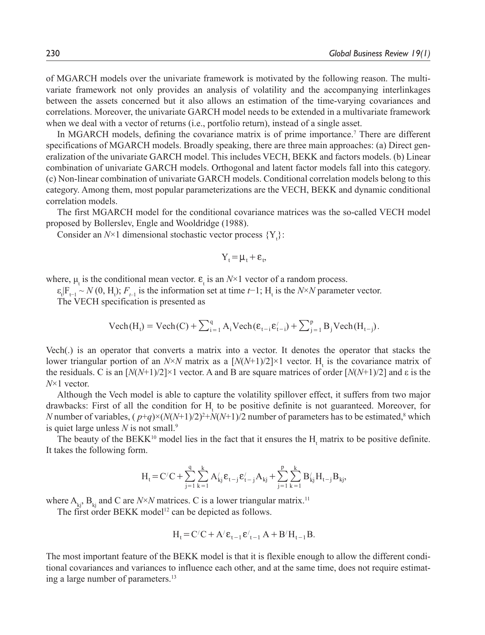of MGARCH models over the univariate framework is motivated by the following reason. The multivariate framework not only provides an analysis of volatility and the accompanying interlinkages between the assets concerned but it also allows an estimation of the time-varying covariances and correlations. Moreover, the univariate GARCH model needs to be extended in a multivariate framework when we deal with a vector of returns (i.e., portfolio return), instead of a single asset.

In MGARCH models, defining the covariance matrix is of prime importance.7 There are different specifications of MGARCH models. Broadly speaking, there are three main approaches: (a) Direct generalization of the univariate GARCH model. This includes VECH, BEKK and factors models. (b) Linear combination of univariate GARCH models. Orthogonal and latent factor models fall into this category. (c) Non-linear combination of univariate GARCH models. Conditional correlation models belong to this category. Among them, most popular parameterizations are the VECH, BEKK and dynamic conditional correlation models.

The first MGARCH model for the conditional covariance matrices was the so-called VECH model proposed by Bollerslev, Engle and Wooldridge (1988).

Consider an  $N \times 1$  dimensional stochastic vector process  $\{Y_t\}$ :

$$
Y_t\!=\!\mu_t\!+\!\epsilon_t,
$$

where,  $\mu_t$  is the conditional mean vector.  $\varepsilon_t$  is an  $N \times 1$  vector of a random process.

 $\epsilon_t$ |F<sub>t−1</sub> ~ *N* (0, H<sub>t</sub>); *F<sub>t−1</sub>* is the information set at time *t*−1; H<sub>t</sub> is the *N*×*N* parameter vector.

The VECH specification is presented as

$$
Vech(H_t) = Vech(C) + \sum_{i=1}^{q} A_i Vech(\varepsilon_{t-i}\varepsilon'_{t-i}) + \sum_{j=1}^{p} B_j Vech(H_{t-j}).
$$

Vech(.) is an operator that converts a matrix into a vector. It denotes the operator that stacks the lower triangular portion of an  $N \times N$  matrix as a  $[N(N+1)/2] \times 1$  vector. H<sub>t</sub> is the covariance matrix of the residuals. C is an  $[N(N+1)/2] \times 1$  vector. A and B are square matrices of order  $[N(N+1)/2]$  and ε is the *N*×1 vector.

Although the Vech model is able to capture the volatility spillover effect, it suffers from two major drawbacks: First of all the condition for  $H_t$  to be positive definite is not guaranteed. Moreover, for *N* number of variables,  $(p+q) \times (N(N+1)/2)^2 + N(N+1)/2$  number of parameters has to be estimated,<sup>8</sup> which is quiet large unless *N* is not small.9

The beauty of the BEKK<sup>10</sup> model lies in the fact that it ensures the  $H<sub>t</sub>$  matrix to be positive definite. It takes the following form.

$$
H_t\!=\!C'C+\sum_{j=1}^q\sum_{k=1}^kA'_{kj}\epsilon_{t-j}\epsilon'_{t-j}A_{kj}+\sum_{j=1}^p\sum_{k=1}^kB'_{kj}H_{t-j}B_{kj},
$$

where  $A_{ki}$ ,  $B_{ki}$  and C are *N*×*N* matrices. C is a lower triangular matrix.<sup>11</sup>

The first order BEKK model<sup>12</sup> can be depicted as follows.

$$
H_t = C'C + A'\epsilon_{t-1}\epsilon'_{t-1}A + B'H_{t-1}B.
$$

The most important feature of the BEKK model is that it is flexible enough to allow the different conditional covariances and variances to influence each other, and at the same time, does not require estimating a large number of parameters.<sup>13</sup>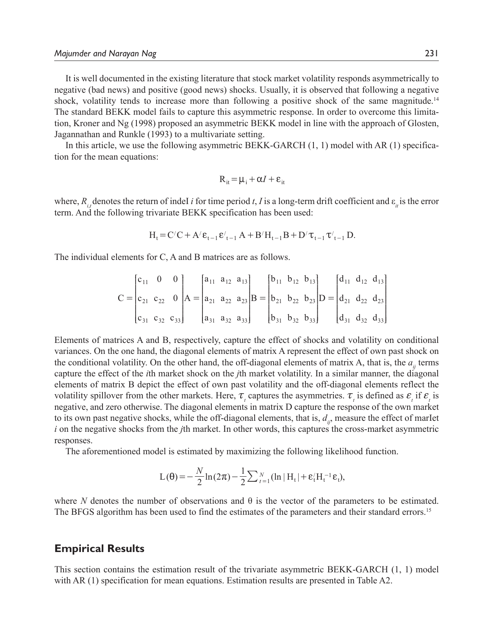It is well documented in the existing literature that stock market volatility responds asymmetrically to negative (bad news) and positive (good news) shocks. Usually, it is observed that following a negative shock, volatility tends to increase more than following a positive shock of the same magnitude.<sup>14</sup> The standard BEKK model fails to capture this asymmetric response. In order to overcome this limitation, Kroner and Ng (1998) proposed an asymmetric BEKK model in line with the approach of Glosten, Jagannathan and Runkle (1993) to a multivariate setting.

In this article, we use the following asymmetric BEKK-GARCH (1, 1) model with AR (1) specification for the mean equations:

$$
R_{it} = \mu_i + \alpha I + \varepsilon_{it}
$$

where,  $R_{i,t}$  denotes the return of indeI *i* for time period *t*, *I* is a long-term drift coefficient and  $\varepsilon_{it}$  is the error term. And the following trivariate BEKK specification has been used:

$$
H_t = C'C + A'e_{t-1}E'_{t-1}A + B'H_{t-1}B + D'\tau_{t-1}\tau'_{t-1}D.
$$

The individual elements for C, A and B matrices are as follows.

$$
C = \begin{bmatrix} c_{11} & 0 & 0 \ c_{21} & c_{22} & 0 \ c_{31} & c_{32} & c_{33} \end{bmatrix} A = \begin{bmatrix} a_{11} & a_{12} & a_{13} \ a_{21} & a_{22} & a_{23} \ a_{31} & a_{32} & a_{33} \end{bmatrix} B = \begin{bmatrix} b_{11} & b_{12} & b_{13} \ b_{21} & b_{22} & b_{23} \ b_{31} & b_{32} & b_{33} \end{bmatrix} D = \begin{bmatrix} d_{11} & d_{12} & d_{13} \ d_{21} & d_{22} & d_{23} \ d_{31} & d_{32} & d_{33} \end{bmatrix}
$$

Elements of matrices A and B, respectively, capture the effect of shocks and volatility on conditional variances. On the one hand, the diagonal elements of matrix A represent the effect of own past shock on the conditional volatility. On the other hand, the off-diagonal elements of matrix A, that is, the  $a_{ii}$  terms capture the effect of the *i*th market shock on the *j*th market volatility. In a similar manner, the diagonal elements of matrix B depict the effect of own past volatility and the off-diagonal elements reflect the volatility spillover from the other markets. Here,  $\tau$ <sub>*t*</sub> captures the asymmetries.  $\tau$ <sub>*t*</sub> is defined as  $\epsilon$ <sub>*t*</sub> if  $\epsilon$ <sub>*t*</sub> is negative, and zero otherwise. The diagonal elements in matrix D capture the response of the own market to its own past negative shocks, while the off-diagonal elements, that is,  $d_{ij}$ , measure the effect of marIet *i* on the negative shocks from the *j*th market. In other words, this captures the cross-market asymmetric responses.

The aforementioned model is estimated by maximizing the following likelihood function.

$$
L(\theta) = -\frac{N}{2} \ln(2\pi) - \frac{1}{2} \sum_{t=1}^{N} (\ln |H_t| + \varepsilon_t' H_t^{-1} \varepsilon_t),
$$

where *N* denotes the number of observations and  $\theta$  is the vector of the parameters to be estimated. The BFGS algorithm has been used to find the estimates of the parameters and their standard errors.<sup>15</sup>

#### **Empirical Results**

This section contains the estimation result of the trivariate asymmetric BEKK-GARCH (1, 1) model with AR (1) specification for mean equations. Estimation results are presented in Table A2.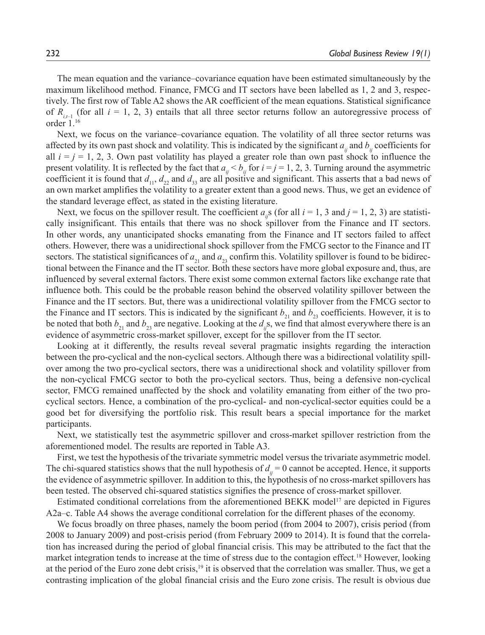The mean equation and the variance–covariance equation have been estimated simultaneously by the maximum likelihood method. Finance, FMCG and IT sectors have been labelled as 1, 2 and 3, respectively. The first row of Table A2 shows the AR coefficient of the mean equations. Statistical significance of  $R_{i,j}$  (for all  $i = 1, 2, 3$ ) entails that all three sector returns follow an autoregressive process of order 1.16

Next, we focus on the variance–covariance equation. The volatility of all three sector returns was affected by its own past shock and volatility. This is indicated by the significant  $a_{ii}$  and  $b_{ii}$  coefficients for all  $i = j = 1, 2, 3$ . Own past volatility has played a greater role than own past shock to influence the present volatility. It is reflected by the fact that  $a_{ij} < b_{ij}$  for  $i = j = 1, 2, 3$ . Turning around the asymmetric coefficient it is found that  $d_{11}$ ,  $d_{22}$  and  $d_{33}$  are all positive and significant. This asserts that a bad news of an own market amplifies the volatility to a greater extent than a good news. Thus, we get an evidence of the standard leverage effect, as stated in the existing literature.

Next, we focus on the spillover result. The coefficient  $a_i$ s (for all  $i = 1, 3$  and  $j = 1, 2, 3$ ) are statistically insignificant. This entails that there was no shock spillover from the Finance and IT sectors. In other words, any unanticipated shocks emanating from the Finance and IT sectors failed to affect others. However, there was a unidirectional shock spillover from the FMCG sector to the Finance and IT sectors. The statistical significances of  $a_{21}$  and  $a_{23}$  confirm this. Volatility spillover is found to be bidirectional between the Finance and the IT sector. Both these sectors have more global exposure and, thus, are influenced by several external factors. There exist some common external factors like exchange rate that influence both. This could be the probable reason behind the observed volatility spillover between the Finance and the IT sectors. But, there was a unidirectional volatility spillover from the FMCG sector to the Finance and IT sectors. This is indicated by the significant  $b_{21}$  and  $b_{23}$  coefficients. However, it is to be noted that both  $b_{21}$  and  $b_{23}$  are negative. Looking at the  $d_{ij}s$ , we find that almost everywhere there is an evidence of asymmetric cross-market spillover, except for the spillover from the IT sector.

Looking at it differently, the results reveal several pragmatic insights regarding the interaction between the pro-cyclical and the non-cyclical sectors. Although there was a bidirectional volatility spillover among the two pro-cyclical sectors, there was a unidirectional shock and volatility spillover from the non-cyclical FMCG sector to both the pro-cyclical sectors. Thus, being a defensive non-cyclical sector, FMCG remained unaffected by the shock and volatility emanating from either of the two procyclical sectors. Hence, a combination of the pro-cyclical- and non-cyclical-sector equities could be a good bet for diversifying the portfolio risk. This result bears a special importance for the market participants.

Next, we statistically test the asymmetric spillover and cross-market spillover restriction from the aforementioned model. The results are reported in Table A3.

First, we test the hypothesis of the trivariate symmetric model versus the trivariate asymmetric model. The chi-squared statistics shows that the null hypothesis of  $d_{ii} = 0$  cannot be accepted. Hence, it supports the evidence of asymmetric spillover. In addition to this, the hypothesis of no cross-market spillovers has been tested. The observed chi-squared statistics signifies the presence of cross-market spillover.

Estimated conditional correlations from the aforementioned BEKK model<sup>17</sup> are depicted in Figures A2a–c. Table A4 shows the average conditional correlation for the different phases of the economy.

We focus broadly on three phases, namely the boom period (from 2004 to 2007), crisis period (from 2008 to January 2009) and post-crisis period (from February 2009 to 2014). It is found that the correlation has increased during the period of global financial crisis. This may be attributed to the fact that the market integration tends to increase at the time of stress due to the contagion effect.18 However, looking at the period of the Euro zone debt crisis,19 it is observed that the correlation was smaller. Thus, we get a contrasting implication of the global financial crisis and the Euro zone crisis. The result is obvious due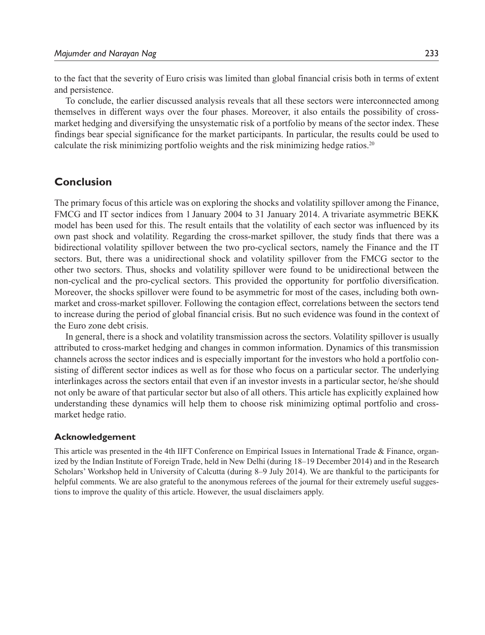to the fact that the severity of Euro crisis was limited than global financial crisis both in terms of extent and persistence.

To conclude, the earlier discussed analysis reveals that all these sectors were interconnected among themselves in different ways over the four phases. Moreover, it also entails the possibility of crossmarket hedging and diversifying the unsystematic risk of a portfolio by means of the sector index. These findings bear special significance for the market participants. In particular, the results could be used to calculate the risk minimizing portfolio weights and the risk minimizing hedge ratios.20

#### **Conclusion**

The primary focus of this article was on exploring the shocks and volatility spillover among the Finance, FMCG and IT sector indices from 1 January 2004 to 31 January 2014. A trivariate asymmetric BEKK model has been used for this. The result entails that the volatility of each sector was influenced by its own past shock and volatility. Regarding the cross-market spillover, the study finds that there was a bidirectional volatility spillover between the two pro-cyclical sectors, namely the Finance and the IT sectors. But, there was a unidirectional shock and volatility spillover from the FMCG sector to the other two sectors. Thus, shocks and volatility spillover were found to be unidirectional between the non-cyclical and the pro-cyclical sectors. This provided the opportunity for portfolio diversification. Moreover, the shocks spillover were found to be asymmetric for most of the cases, including both ownmarket and cross-market spillover. Following the contagion effect, correlations between the sectors tend to increase during the period of global financial crisis. But no such evidence was found in the context of the Euro zone debt crisis.

In general, there is a shock and volatility transmission across the sectors. Volatility spillover is usually attributed to cross-market hedging and changes in common information. Dynamics of this transmission channels across the sector indices and is especially important for the investors who hold a portfolio consisting of different sector indices as well as for those who focus on a particular sector. The underlying interlinkages across the sectors entail that even if an investor invests in a particular sector, he/she should not only be aware of that particular sector but also of all others. This article has explicitly explained how understanding these dynamics will help them to choose risk minimizing optimal portfolio and crossmarket hedge ratio.

#### **Acknowledgement**

This article was presented in the 4th IIFT Conference on Empirical Issues in International Trade & Finance, organized by the Indian Institute of Foreign Trade, held in New Delhi (during 18–19 December 2014) and in the Research Scholars' Workshop held in University of Calcutta (during 8–9 July 2014). We are thankful to the participants for helpful comments. We are also grateful to the anonymous referees of the journal for their extremely useful suggestions to improve the quality of this article. However, the usual disclaimers apply.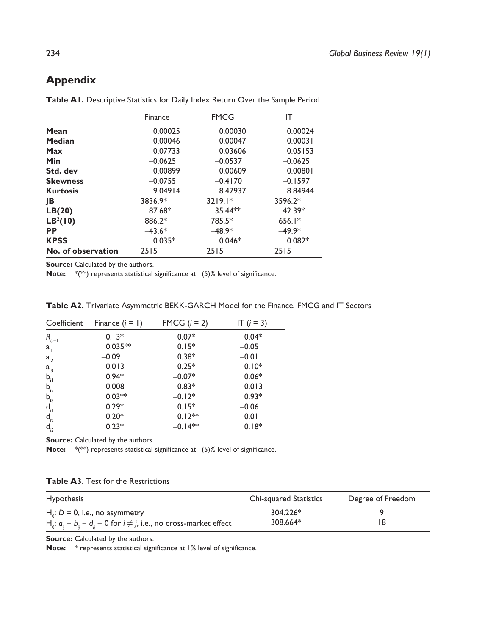### **Appendix**

|  |  |  | Table AI. Descriptive Statistics for Daily Index Return Over the Sample Period |
|--|--|--|--------------------------------------------------------------------------------|
|--|--|--|--------------------------------------------------------------------------------|

|                      | Finance   | <b>FMCG</b> | IΤ        |
|----------------------|-----------|-------------|-----------|
| Mean                 | 0.00025   | 0.00030     | 0.00024   |
| <b>Median</b>        | 0.00046   | 0.00047     | 0.00031   |
| Max                  | 0.07733   | 0.03606     | 0.05153   |
| Min                  | $-0.0625$ | $-0.0537$   | $-0.0625$ |
| Std. dev             | 0.00899   | 0.00609     | 0.00801   |
| <b>Skewness</b>      | $-0.0755$ | $-0.4170$   | $-0.1597$ |
| <b>Kurtosis</b>      | 9.04914   | 8.47937     | 8.84944   |
| JB                   | 3836.9*   | $3219.1*$   | 3596.2*   |
| LB(20)               | 87.68*    | 35.44**     | 42.39*    |
| LB <sup>2</sup> (10) | 886.2*    | 785.5*      | $656.1*$  |
| <b>PP</b>            | $-43.6*$  | $-48.9*$    | $-49.9*$  |
| <b>KPSS</b>          | $0.035*$  | $0.046*$    | $0.082*$  |
| No. of observation   | 2515      | 2515        | 2515      |

**Source:** Calculated by the authors.

**Note:** \*(\*\*) represents statistical significance at 1(5)% level of significance.

| Coefficient                       | Finance $(i = 1)$ | FMCG $(i = 2)$ | IT $(i = 3)$ |
|-----------------------------------|-------------------|----------------|--------------|
| $R_{_{\scriptscriptstyle [t-1]}}$ | $0.13*$           | $0.07*$        | $0.04*$      |
| $a_{i}$                           | $0.035**$         | $0.15*$        | $-0.05$      |
| $a_{i2}$                          | $-0.09$           | $0.38*$        | $-0.01$      |
| $a_{i3}$                          | 0.013             | $0.25*$        | $0.10*$      |
| $\mathsf{b}_{\mathsf{il}}$        | $0.94*$           | $-0.07*$       | $0.06*$      |
| $b_{i2}$                          | 0.008             | $0.83*$        | 0.013        |
| $b_{i3}$                          | $0.03**$          | $-0.12*$       | $0.93*$      |
| $\mathsf{d}_{\mathsf{d}}$         | $0.29*$           | $0.15*$        | $-0.06$      |
| $d_{i2}$                          | $0.20*$           | $0.12**$       | 0.01         |
| $\overline{d}_{i3}$               | $0.23*$           | $-0.14**$      | $0.18*$      |

**Table A2.** Trivariate Asymmetric BEKK-GARCH Model for the Finance, FMCG and IT Sectors

**Source:** Calculated by the authors.

**Note:** \*(\*\*) represents statistical significance at 1(5)% level of significance.

|  |  |  |  | <b>Table A3.</b> Test for the Restrictions |
|--|--|--|--|--------------------------------------------|
|--|--|--|--|--------------------------------------------|

| <b>Hypothesis</b>                                                           | Chi-squared Statistics | Degree of Freedom |
|-----------------------------------------------------------------------------|------------------------|-------------------|
| $Ho$ : D = 0, i.e., no asymmetry                                            | 304.226*               |                   |
| $H_0$ : $a_n = b_n = d_n = 0$ for $i \neq j$ , i.e., no cross-market effect | 308.664*               | 18                |

**Source:** Calculated by the authors.

**Note:** \* represents statistical significance at 1% level of significance.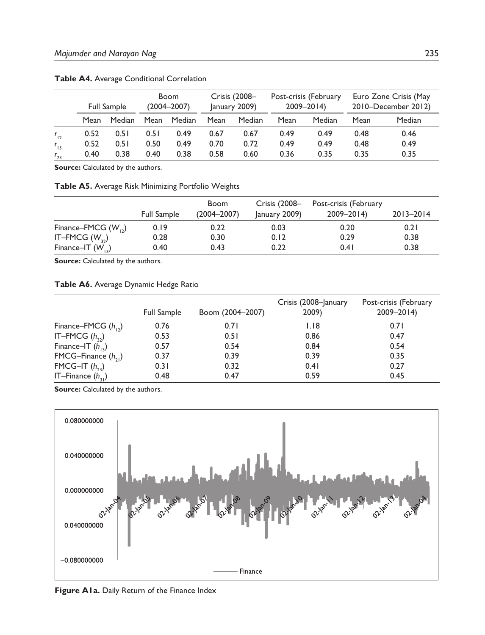|          |      | <b>Full Sample</b> |      | <b>Boom</b><br>(2004–2007) |      | Crisis (2008-<br>January 2009) |      | Post-crisis (February<br>$2009 - 2014$ |      | Euro Zone Crisis (May<br>2010–December 2012) |
|----------|------|--------------------|------|----------------------------|------|--------------------------------|------|----------------------------------------|------|----------------------------------------------|
|          | Mean | Median             | Mean | Median                     | Mean | Median                         | Mean | Median                                 | Mean | Median                                       |
| $r_{12}$ | 0.52 | 0.51               | 0.51 | 0.49                       | 0.67 | 0.67                           | 0.49 | 0.49                                   | 0.48 | 0.46                                         |
| $r_{13}$ | 0.52 | 0.51               | 0.50 | 0.49                       | 0.70 | 0.72                           | 0.49 | 0.49                                   | 0.48 | 0.49                                         |
| $r_{23}$ | 0.40 | 0.38               | 0.40 | 0.38                       | 0.58 | 0.60                           | 0.36 | 0.35                                   | 0.35 | 0.35                                         |

**Table A4.** Average Conditional Correlation

**Source:** Calculated by the authors.

**Table A5.** Average Risk Minimizing Portfolio Weights

|                         | <b>Full Sample</b> | Boom<br>$(2004 - 2007)$ | Crisis (2008-<br>January 2009) | Post-crisis (February<br>$2009 - 2014$ | 2013-2014 |
|-------------------------|--------------------|-------------------------|--------------------------------|----------------------------------------|-----------|
| Finance–FMCG $(W_{12})$ | 0.19               | 0.22                    | 0.03                           | 0.20                                   | 0.21      |
| IT-FMCG $(W_{22})$      | 0.28               | 0.30                    | 0.12                           | 0.29                                   | 0.38      |
| Finance-IT $(W_{12})$   | 0.40               | 0.43                    | 0.22                           | 0.41                                   | 0.38      |

Source: Calculated by the authors.

#### **Table A6.** Average Dynamic Hedge Ratio

|                         | <b>Full Sample</b> | Boom (2004-2007) | Crisis (2008-January<br>2009) | Post-crisis (February<br>$2009 - 2014$ |
|-------------------------|--------------------|------------------|-------------------------------|----------------------------------------|
| Finance-FMCG $(h_{12})$ | 0.76               | 0.71             | 1.18                          | 0.71                                   |
| IT-FMCG $(h_{22})$      | 0.53               | 0.51             | 0.86                          | 0.47                                   |
| Finance-IT $(h_{12})$   | 0.57               | 0.54             | 0.84                          | 0.54                                   |
| FMCG-Finance $(h_{21})$ | 0.37               | 0.39             | 0.39                          | 0.35                                   |
| FMCG-IT $(h_{22})$      | 0.31               | 0.32             | 0.41                          | 0.27                                   |
| IT-Finance $(h_{21})$   | 0.48               | 0.47             | 0.59                          | 0.45                                   |

**Source:** Calculated by the authors.



**Figure A1a.** Daily Return of the Finance Index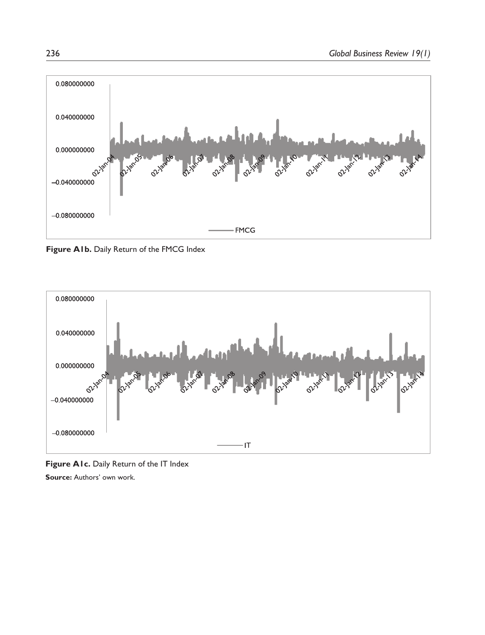

Figure A1b. Daily Return of the FMCG Index



Figure A1c. Daily Return of the IT Index **Source:** Authors' own work.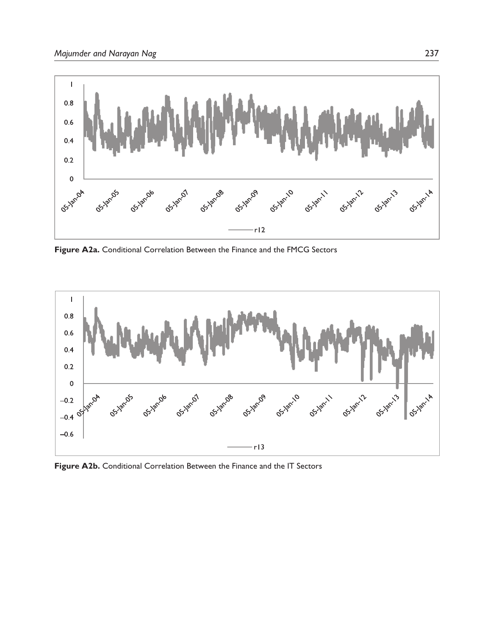

**Figure A2a.** Conditional Correlation Between the Finance and the FMCG Sectors



**Figure A2b.** Conditional Correlation Between the Finance and the IT Sectors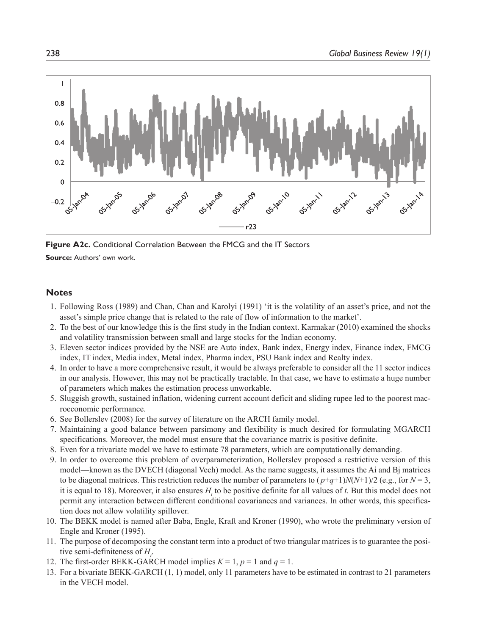

**Figure A2c.** Conditional Correlation Between the FMCG and the IT Sectors

**Source:** Authors' own work.

#### **Notes**

- 1. Following Ross (1989) and Chan, Chan and Karolyi (1991) 'it is the volatility of an asset's price, and not the asset's simple price change that is related to the rate of flow of information to the market'.
- 2. To the best of our knowledge this is the first study in the Indian context. Karmakar (2010) examined the shocks and volatility transmission between small and large stocks for the Indian economy.
- 3. Eleven sector indices provided by the NSE are Auto index, Bank index, Energy index, Finance index, FMCG index, IT index, Media index, Metal index, Pharma index, PSU Bank index and Realty index.
- 4. In order to have a more comprehensive result, it would be always preferable to consider all the 11 sector indices in our analysis. However, this may not be practically tractable. In that case, we have to estimate a huge number of parameters which makes the estimation process unworkable.
- 5. Sluggish growth, sustained inflation, widening current account deficit and sliding rupee led to the poorest macroeconomic performance.
- 6. See Bollerslev (2008) for the survey of literature on the ARCH family model.
- 7. Maintaining a good balance between parsimony and flexibility is much desired for formulating MGARCH specifications. Moreover, the model must ensure that the covariance matrix is positive definite.
- 8. Even for a trivariate model we have to estimate 78 parameters, which are computationally demanding.
- 9. In order to overcome this problem of overparameterization, Bollerslev proposed a restrictive version of this model—known as the DVECH (diagonal Vech) model. As the name suggests, it assumes the Ai and Bj matrices to be diagonal matrices. This restriction reduces the number of parameters to  $(p+q+1)N(N+1)/2$  (e.g., for  $N=3$ , it is equal to 18). Moreover, it also ensures  $H_t$  to be positive definite for all values of *t*. But this model does not permit any interaction between different conditional covariances and variances. In other words, this specification does not allow volatility spillover.
- 10. The BEKK model is named after Baba, Engle, Kraft and Kroner (1990), who wrote the preliminary version of Engle and Kroner (1995).
- 11. The purpose of decomposing the constant term into a product of two triangular matrices is to guarantee the positive semi-definiteness of  $H_i$ .
- 12. The first-order BEKK-GARCH model implies  $K = 1$ ,  $p = 1$  and  $q = 1$ .
- 13. For a bivariate BEKK-GARCH (1, 1) model, only 11 parameters have to be estimated in contrast to 21 parameters in the VECH model.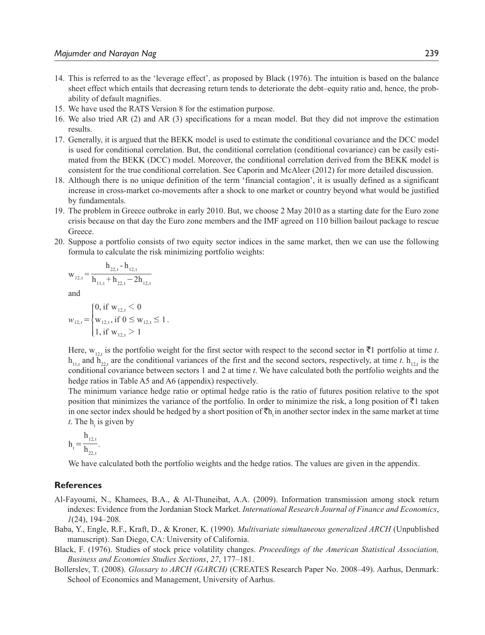- 14. This is referred to as the 'leverage effect', as proposed by Black (1976). The intuition is based on the balance sheet effect which entails that decreasing return tends to deteriorate the debt–equity ratio and, hence, the probability of default magnifies.
- 15. We have used the RATS Version 8 for the estimation purpose.
- 16. We also tried AR (2) and AR (3) specifications for a mean model. But they did not improve the estimation results.
- 17. Generally, it is argued that the BEKK model is used to estimate the conditional covariance and the DCC model is used for conditional correlation. But, the conditional correlation (conditional covariance) can be easily estimated from the BEKK (DCC) model. Moreover, the conditional correlation derived from the BEKK model is consistent for the true conditional correlation. See Caporin and McAleer (2012) for more detailed discussion.
- 18. Although there is no unique definition of the term 'financial contagion', it is usually defined as a significant increase in cross-market co-movements after a shock to one market or country beyond what would be justified by fundamentals.
- 19. The problem in Greece outbroke in early 2010. But, we choose 2 May 2010 as a starting date for the Euro zone crisis because on that day the Euro zone members and the IMF agreed on 110 billion bailout package to rescue Greece.
- 20. Suppose a portfolio consists of two equity sector indices in the same market, then we can use the following formula to calculate the risk minimizing portfolio weights:

$$
w_{12,t} = \frac{h_{22,t} - h_{12,t}}{h_{11,t} + h_{22,t} - 2h_{12,t}}
$$

and

$$
w_{12,t} = \begin{cases} 0, \text{ if } w_{12,t} < 0 \\ w_{12,t}, \text{ if } 0 \le w_{12,t} \le 1 \\ 1, \text{ if } w_{12,t} > 1 \end{cases}
$$

Here,  $w_{12}$ , is the portfolio weight for the first sector with respect to the second sector in  $\bar{\tau}$ 1 portfolio at time *t*.  $h_{11}$  and  $h_{22}$  are the conditional variances of the first and the second sectors, respectively, at time *t*.  $h_{12}$  is the conditional covariance between sectors 1 and 2 at time *t*. We have calculated both the portfolio weights and the hedge ratios in Table A5 and A6 (appendix) respectively.

The minimum variance hedge ratio or optimal hedge ratio is the ratio of futures position relative to the spot position that minimizes the variance of the portfolio. In order to minimize the risk, a long position of  $\bar{\tau}$ 1 taken in one sector index should be hedged by a short position of  $\nabla h$  in another sector index in the same market at time *t*. The  $h_t$  is given by

$$
h_t\!=\!\frac{h_{12,t}}{h_{22,t}}.
$$

We have calculated both the portfolio weights and the hedge ratios. The values are given in the appendix.

#### **References**

- Al-Fayoumi, N., Khamees, B.A., & Al-Thuneibat, A.A. (2009). Information transmission among stock return indexes: Evidence from the Jordanian Stock Market. *International Research Journal of Finance and Economics*, *1*(24), 194–208.
- Baba, Y., Engle, R.F., Kraft, D., & Kroner, K. (1990). *Multivariate simultaneous generalized ARCH* (Unpublished manuscript). San Diego, CA: University of California.
- Black, F. (1976). Studies of stock price volatility changes. *Proceedings of the American Statistical Association, Business and Economies Studies Sections*, *27*, 177–181.
- Bollerslev, T. (2008). *Glossary to ARCH (GARCH)* (CREATES Research Paper No. 2008–49). Aarhus, Denmark: School of Economics and Management, University of Aarhus.